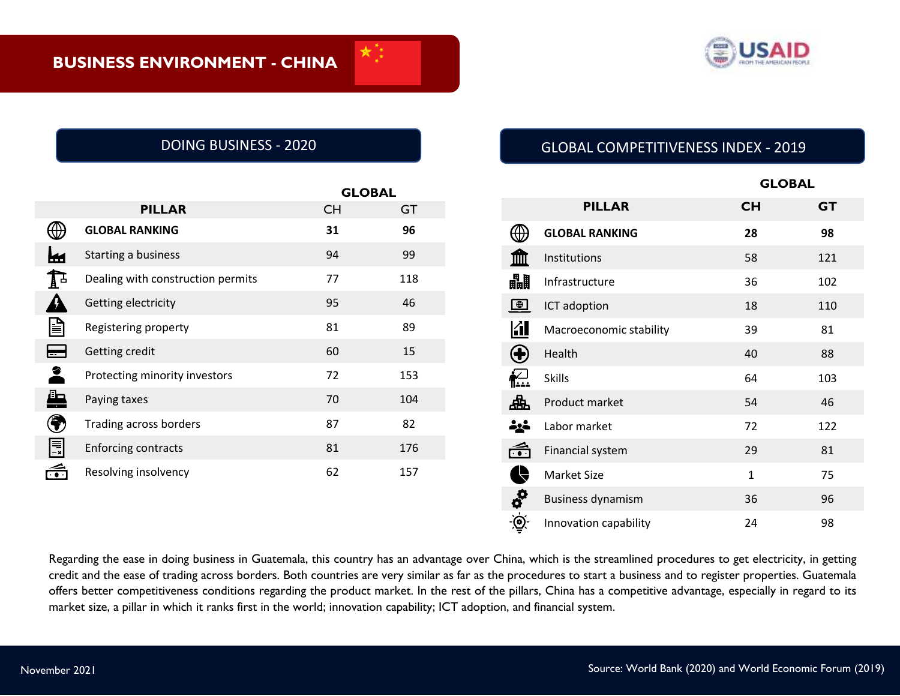

|                        |                                   | <b>GLOBAL</b> |     |
|------------------------|-----------------------------------|---------------|-----|
|                        | <b>PILLAR</b>                     | <b>CH</b>     | GT  |
|                        | <b>GLOBAL RANKING</b>             | 31            | 96  |
|                        | Starting a business               | 94            | 99  |
|                        | Dealing with construction permits | 77            | 118 |
|                        | Getting electricity               | 95            | 46  |
| e                      | Registering property              | 81            | 89  |
| $\bigoplus$            | Getting credit                    | 60            | 15  |
| 2                      | Protecting minority investors     | 72            | 153 |
| <u>le</u>              | Paying taxes                      | 70            | 104 |
| 電                      | Trading across borders            | 87            | 82  |
| $\boxed{\phantom{1}}$  | <b>Enforcing contracts</b>        | 81            | 176 |
| $\widehat{\mathbb{G}}$ | Resolving insolvency              | 62            | 157 |

# DOING BUSINESS - 2020 GLOBAL COMPETITIVENESS INDEX - 2019

|                           |                          |              | <b>GLOBAL</b> |  |
|---------------------------|--------------------------|--------------|---------------|--|
|                           | <b>PILLAR</b>            | <b>CH</b>    | <b>GT</b>     |  |
|                           | <b>GLOBAL RANKING</b>    | 28           | 98            |  |
|                           | Institutions             | 58           | 121           |  |
| 畾                         | Infrastructure           | 36           | 102           |  |
| $\qquad \qquad \bigoplus$ | ICT adoption             | 18           | 110           |  |
| <u> 11</u>                | Macroeconomic stability  | 39           | 81            |  |
| $\bf \bm \Theta$          | Health                   | 40           | 88            |  |
| 杞                         | <b>Skills</b>            | 64           | 103           |  |
| 盀                         | Product market           | 54           | 46            |  |
| خونه                      | Labor market             | 72           | 122           |  |
| وي.<br>ان                 | Financial system         | 29           | 81            |  |
| <b>Q</b>                  | <b>Market Size</b>       | $\mathbf{1}$ | 75            |  |
| $\phi_2$ $\phi_3$         | <b>Business dynamism</b> | 36           | 96            |  |
|                           | Innovation capability    | 24           | 98            |  |

Regarding the ease in doing business in Guatemala, this country has an advantage over China, which is the streamlined procedures to get electricity, in getting credit and the ease of trading across borders. Both countries are very similar as far as the procedures to start a business and to register properties. Guatemala offers better competitiveness conditions regarding the product market. In the rest of the pillars, China has a competitive advantage, especially in regard to its market size, a pillar in which it ranks first in the world; innovation capability; ICT adoption, and financial system.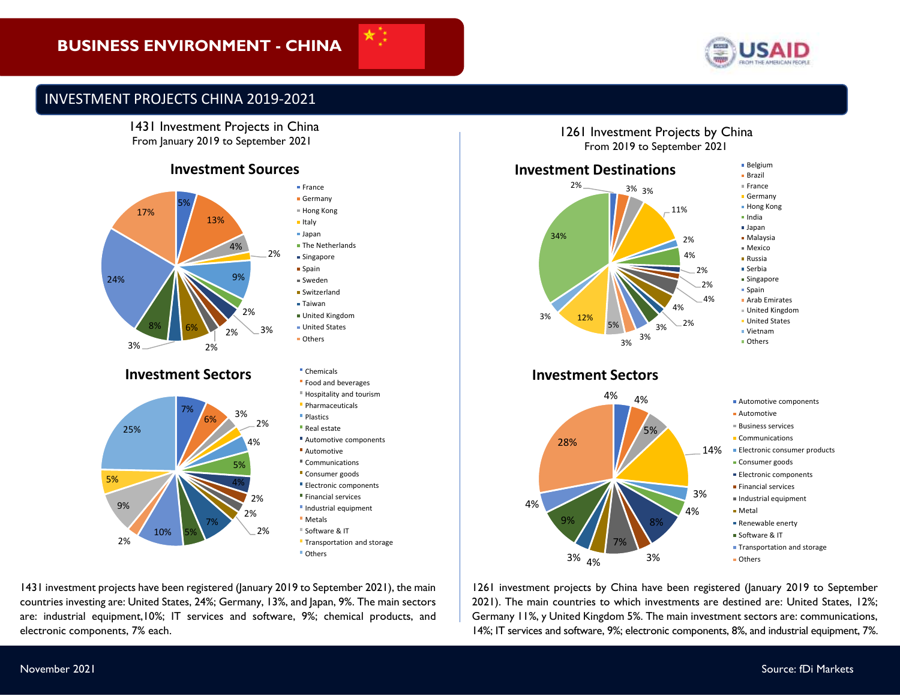# **BUSINESS ENVIRONMENT - CHINA**



# INVESTMENT PROJECTS CHINA 2019-2021

1431 Investment Projects in China From January 2019 to September 2021

### **Investment Sources**



### **Investment Sectors Chemicals**



Germany Hong Kong **Italy** Japan **The Netherlands Singapore Spain** Sweden **Switzerland** Taiwan United Kingdom **United States Others** Food and beverages Hospitality and tourism **Pharmaceuticals Plastics** Real estate Automotive components **Automotive** Communications **Consumer goods** Electronic components **Financial services Industrial equipment Metals** 

**France** 

- Software & IT
- **Transportation and storage** Others

1431 investment projects have been registered (January 2019 to September 2021), the main countries investing are: United States, 24%; Germany, 13%, and Japan, 9%. The main sectors are: industrial equipment,10%; IT services and software, 9%; chemical products, and electronic components, 7% each.

1261 Investment Projects by China From 2019 to September 2021



1261 investment projects by China have been registered (January 2019 to September 2021). The main countries to which investments are destined are: United States, 12%; Germany 11%, y United Kingdom 5%. The main investment sectors are: communications, 14%; IT services and software, 9%; electronic components, 8%, and industrial equipment, 7%.

**Others** 

3%

3% <sub>4%</sub>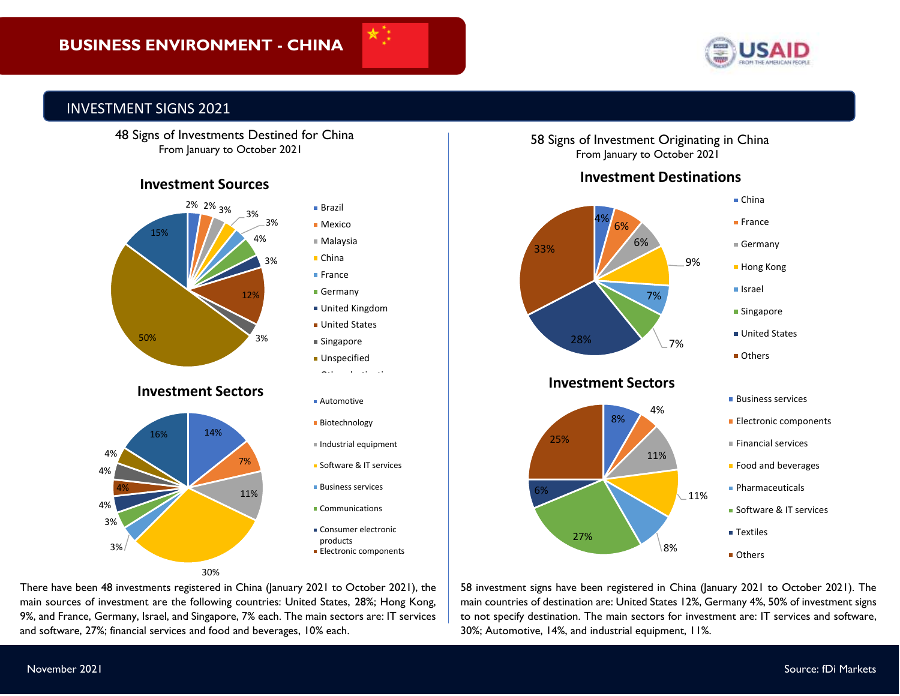# **BUSINESS ENVIRONMENT - CHINA**



# INVESTMENT SIGNS 2021

 48 Signs of Investments Destined for China From January to October 2021

### **Investment Sources**



main sources of investment are the following countries: United States, 28%; Hong Kong, There have been 48 investments registered in China (January 2021 to October 2021), the 9%, and France, Germany, Israel, and Singapore, 7% each. The main sectors are: IT services and software, 27%; financial services and food and beverages, 10% each.

58 Signs of Investment Originating in China From January to October 2021

# **Investment Destinations**



58 investment signs have been registered in China (January 2021 to October 2021). The main countries of destination are: United States 12%, Germany 4%, 50% of investment signs to not specify destination. The main sectors for investment are: IT services and software, 30%; Automotive, 14%, and industrial equipment, 11%.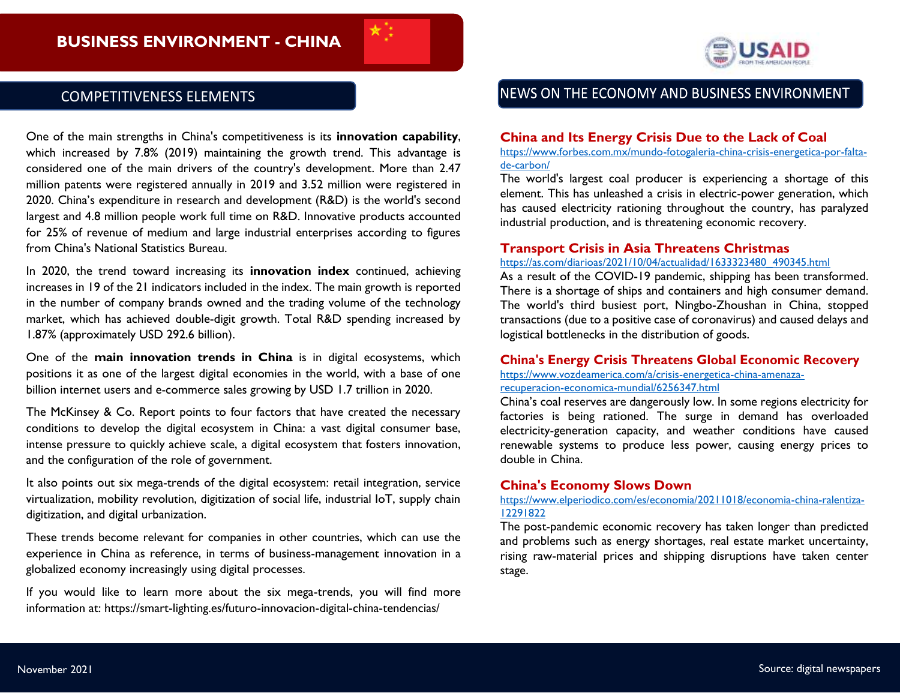

# COMPETITIVENESS ELEMENTS

One of the main strengths in China's competitiveness is its **innovation capability**, which increased by 7.8% (2019) maintaining the growth trend. This advantage is considered one of the main drivers of the country's development. More than 2.47 million patents were registered annually in 2019 and 3.52 million were registered in 2020. China's expenditure in research and development (R&D) is the world's second largest and 4.8 million people work full time on R&D. Innovative products accounted for 25% of revenue of medium and large industrial enterprises according to figures from China's National Statistics Bureau.

In 2020, the trend toward increasing its **innovation index** continued, achieving increases in 19 of the 21 indicators included in the index. The main growth is reported in the number of company brands owned and the trading volume of the technology market, which has achieved double-digit growth. Total R&D spending increased by 1.87% (approximately USD 292.6 billion).

One of the **main innovation trends in China** is in digital ecosystems, which positions it as one of the largest digital economies in the world, with a base of one billion internet users and e-commerce sales growing by USD 1.7 trillion in 2020.

The McKinsey & Co. Report points to four factors that have created the necessary conditions to develop the digital ecosystem in China: a vast digital consumer base, intense pressure to quickly achieve scale, a digital ecosystem that fosters innovation, and the configuration of the role of government.

It also points out six mega-trends of the digital ecosystem: retail integration, service virtualization, mobility revolution, digitization of social life, industrial IoT, supply chain digitization, and digital urbanization.

These trends become relevant for companies in other countries, which can use the experience in China as reference, in terms of business-management innovation in a globalized economy increasingly using digital processes.

If you would like to learn more about the six mega-trends, you will find more information at: https://smart-lighting.es/futuro-innovacion-digital-china-tendencias/

# NEWS ON THE ECONOMY AND BUSINESS ENVIRONMENT

### **China and Its Energy Crisis Due to the Lack of Coal**

[https://www.forbes.com.mx/mundo-fotogaleria-china-crisis-energetica-por-falta](https://www.forbes.com.mx/mundo-fotogaleria-china-crisis-energetica-por-falta-de-carbon/)[de-carbon/](https://www.forbes.com.mx/mundo-fotogaleria-china-crisis-energetica-por-falta-de-carbon/)

The world's largest coal producer is experiencing a shortage of this element. This has unleashed a crisis in electric-power generation, which has caused electricity rationing throughout the country, has paralyzed industrial production, and is threatening economic recovery.

#### **Transport Crisis in Asia Threatens Christmas**

### [https://as.com/diarioas/2021/10/04/actualidad/1633323480\\_490345.html](https://as.com/diarioas/2021/10/04/actualidad/1633323480_490345.html)

As a result of the COVID-19 pandemic, shipping has been transformed. There is a shortage of ships and containers and high consumer demand. The world's third busiest port, Ningbo-Zhoushan in China, stopped transactions (due to a positive case of coronavirus) and caused delays and logistical bottlenecks in the distribution of goods.

#### **China's Energy Crisis Threatens Global Economic Recovery**

[https://www.vozdeamerica.com/a/crisis-energetica-china-amenaza](https://www.vozdeamerica.com/a/crisis-energetica-china-amenaza-recuperacion-economica-mundial/6256347.html)[recuperacion-economica-mundial/6256347.html](https://www.vozdeamerica.com/a/crisis-energetica-china-amenaza-recuperacion-economica-mundial/6256347.html)

China's coal reserves are dangerously low. In some regions electricity for factories is being rationed. The surge in demand has overloaded electricity-generation capacity, and weather conditions have caused renewable systems to produce less power, causing energy prices to double in China.

#### **China's Economy Slows Down**

#### [https://www.elperiodico.com/es/economia/20211018/economia-china-ralentiza-](https://www.elperiodico.com/es/economia/20211018/economia-china-ralentiza-12291822)[12291822](https://www.elperiodico.com/es/economia/20211018/economia-china-ralentiza-12291822)

The post-pandemic economic recovery has taken longer than predicted and problems such as energy shortages, real estate market uncertainty, rising raw-material prices and shipping disruptions have taken center stage.